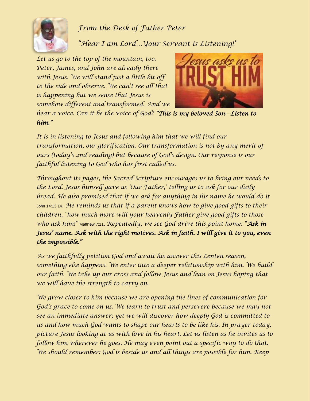

*From the Desk of Father Peter*

*"Hear I am Lord…Your Servant is Listening!"*

*Let us go to the top of the mountain, too. Peter, James, and John are already there with Jesus. We will stand just a little bit off to the side and observe. We can't see all that is happening but we sense that Jesus is somehow different and transformed. And we* 



*hear a voice. Can it be the voice of God? "This is my beloved Son—Listen to him."*

*It is in listening to Jesus and following him that we will find our transformation, our glorification. Our transformation is not by any merit of ours (today's 2nd reading) but because of God's design. Our response is our faithful listening to God who has first called us.*

*Throughout its pages, the Sacred Scripture encourages us to bring our needs to the Lord. Jesus himself gave us 'Our Father,' telling us to ask for our daily bread. He also promised that if we ask for anything in his name he would do it* John 14:13,14*. He reminds us that if a parent knows how to give good gifts to their children, "how much more will your heavenly Father give good gifts to those who ask him!"* Matthew 7:11. *Repeatedly, we see God drive this point home: "Ask in Jesus' name. Ask with the right motives. Ask in faith. I will give it to you, even the impossible."* 

*As we faithfully petition God and await his answer this Lenten season, something else happens. We enter into a deeper relationship with him. We build our faith. We take up our cross and follow Jesus and lean on Jesus hoping that we will have the strength to carry on.* 

*We grow closer to him because we are opening the lines of communication for God's grace to come on us. We learn to trust and persevere because we may not see an immediate answer; yet we will discover how deeply God is committed to us and how much God wants to shape our hearts to be like his. In prayer today, picture Jesus looking at us with love in his heart. Let us listen as he invites us to follow him wherever he goes. He may even point out a specific way to do that. We should remember: God is beside us and all things are possible for him. Keep*